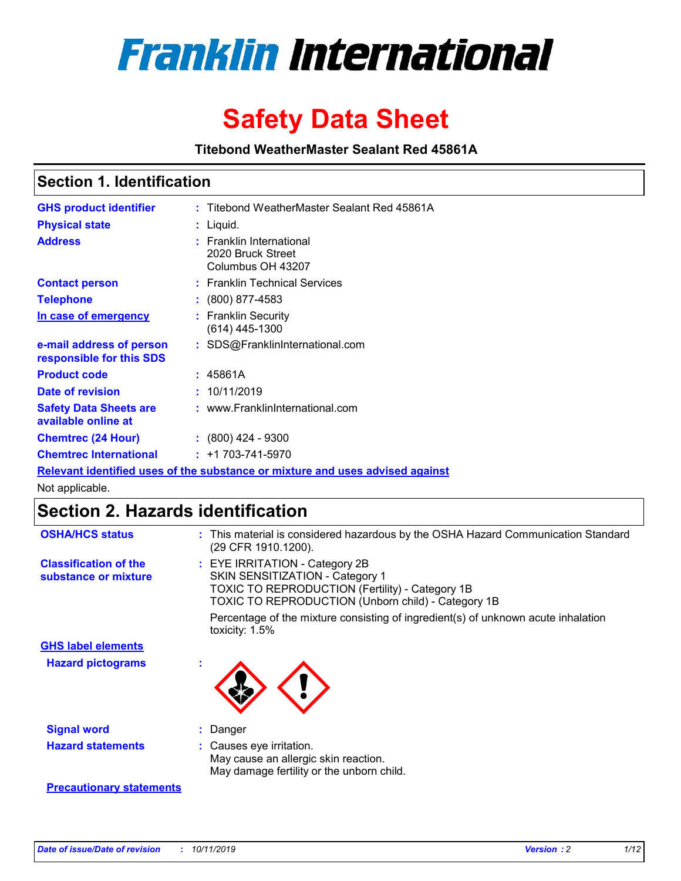

# **Safety Data Sheet**

**Titebond WeatherMaster Sealant Red 45861A**

### **Section 1. Identification**

| <b>GHS product identifier</b>                                                 |  | : Titebond WeatherMaster Sealant Red 45861A                        |  |  |  |
|-------------------------------------------------------------------------------|--|--------------------------------------------------------------------|--|--|--|
| <b>Physical state</b>                                                         |  | : Liquid.                                                          |  |  |  |
| <b>Address</b>                                                                |  | : Franklin International<br>2020 Bruck Street<br>Columbus OH 43207 |  |  |  |
| <b>Contact person</b>                                                         |  | : Franklin Technical Services                                      |  |  |  |
| <b>Telephone</b>                                                              |  | $\div$ (800) 877-4583                                              |  |  |  |
| In case of emergency                                                          |  | : Franklin Security<br>(614) 445-1300                              |  |  |  |
| e-mail address of person<br>responsible for this SDS                          |  | : SDS@FranklinInternational.com                                    |  |  |  |
| <b>Product code</b>                                                           |  | : 45861A                                                           |  |  |  |
| Date of revision                                                              |  | : 10/11/2019                                                       |  |  |  |
| <b>Safety Data Sheets are</b><br>available online at                          |  | : www.FranklinInternational.com                                    |  |  |  |
| <b>Chemtrec (24 Hour)</b>                                                     |  | $\div$ (800) 424 - 9300                                            |  |  |  |
| <b>Chemtrec International</b>                                                 |  | $: +1703 - 741 - 5970$                                             |  |  |  |
| Relevant identified uses of the substance or mixture and uses advised against |  |                                                                    |  |  |  |

Not applicable.

## **Section 2. Hazards identification**

| <b>OSHA/HCS status</b>                               | : This material is considered hazardous by the OSHA Hazard Communication Standard<br>(29 CFR 1910.1200).                                                                                 |
|------------------------------------------------------|------------------------------------------------------------------------------------------------------------------------------------------------------------------------------------------|
| <b>Classification of the</b><br>substance or mixture | : EYE IRRITATION - Category 2B<br>SKIN SENSITIZATION - Category 1<br><b>TOXIC TO REPRODUCTION (Fertility) - Category 1B</b><br><b>TOXIC TO REPRODUCTION (Unborn child) - Category 1B</b> |
|                                                      | Percentage of the mixture consisting of ingredient(s) of unknown acute inhalation<br>toxicity: $1.5\%$                                                                                   |
| <b>GHS label elements</b>                            |                                                                                                                                                                                          |
| <b>Hazard pictograms</b>                             |                                                                                                                                                                                          |
| <b>Signal word</b>                                   | : Danger                                                                                                                                                                                 |
| <b>Hazard statements</b>                             | : Causes eye irritation.<br>May cause an allergic skin reaction.<br>May damage fertility or the unborn child.                                                                            |
| <b>Precautionary statements</b>                      |                                                                                                                                                                                          |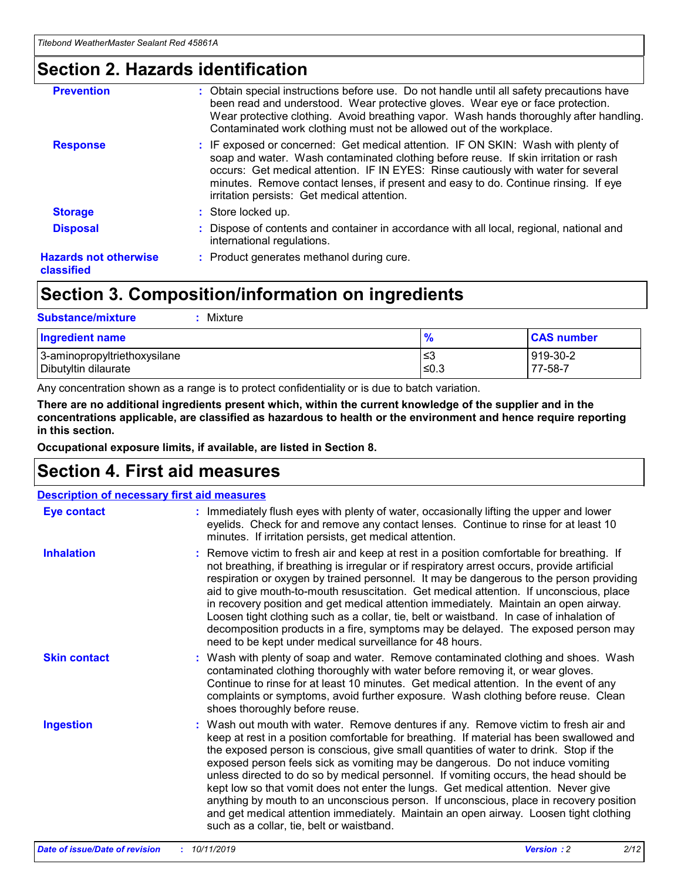### **Section 2. Hazards identification**

| <b>Prevention</b>                          | : Obtain special instructions before use. Do not handle until all safety precautions have<br>been read and understood. Wear protective gloves. Wear eye or face protection.<br>Wear protective clothing. Avoid breathing vapor. Wash hands thoroughly after handling.<br>Contaminated work clothing must not be allowed out of the workplace.                                                        |
|--------------------------------------------|------------------------------------------------------------------------------------------------------------------------------------------------------------------------------------------------------------------------------------------------------------------------------------------------------------------------------------------------------------------------------------------------------|
| <b>Response</b>                            | : IF exposed or concerned: Get medical attention. IF ON SKIN: Wash with plenty of<br>soap and water. Wash contaminated clothing before reuse. If skin irritation or rash<br>occurs: Get medical attention. IF IN EYES: Rinse cautiously with water for several<br>minutes. Remove contact lenses, if present and easy to do. Continue rinsing. If eye<br>irritation persists: Get medical attention. |
| <b>Storage</b>                             | : Store locked up.                                                                                                                                                                                                                                                                                                                                                                                   |
| <b>Disposal</b>                            | : Dispose of contents and container in accordance with all local, regional, national and<br>international regulations.                                                                                                                                                                                                                                                                               |
| <b>Hazards not otherwise</b><br>classified | : Product generates methanol during cure.                                                                                                                                                                                                                                                                                                                                                            |
|                                            |                                                                                                                                                                                                                                                                                                                                                                                                      |

## **Section 3. Composition/information on ingredients**

| <b>Substance/mixture</b><br>Mixture                  |                   |                     |
|------------------------------------------------------|-------------------|---------------------|
| <b>Ingredient name</b>                               | $\frac{9}{6}$     | <b>CAS number</b>   |
| 3-aminopropyltriethoxysilane<br>Dibutyltin dilaurate | l≤3<br>$\leq 0.3$ | 919-30-2<br>77-58-7 |

Any concentration shown as a range is to protect confidentiality or is due to batch variation.

**There are no additional ingredients present which, within the current knowledge of the supplier and in the concentrations applicable, are classified as hazardous to health or the environment and hence require reporting in this section.**

**Occupational exposure limits, if available, are listed in Section 8.**

## **Section 4. First aid measures**

| <b>Description of necessary first aid measures</b> |                                                                                                                                                                                                                                                                                                                                                                                                                                                                                                                                                                                                                                                                                                                                                                           |  |  |  |
|----------------------------------------------------|---------------------------------------------------------------------------------------------------------------------------------------------------------------------------------------------------------------------------------------------------------------------------------------------------------------------------------------------------------------------------------------------------------------------------------------------------------------------------------------------------------------------------------------------------------------------------------------------------------------------------------------------------------------------------------------------------------------------------------------------------------------------------|--|--|--|
| <b>Eye contact</b>                                 | : Immediately flush eyes with plenty of water, occasionally lifting the upper and lower<br>eyelids. Check for and remove any contact lenses. Continue to rinse for at least 10<br>minutes. If irritation persists, get medical attention.                                                                                                                                                                                                                                                                                                                                                                                                                                                                                                                                 |  |  |  |
| <b>Inhalation</b>                                  | : Remove victim to fresh air and keep at rest in a position comfortable for breathing. If<br>not breathing, if breathing is irregular or if respiratory arrest occurs, provide artificial<br>respiration or oxygen by trained personnel. It may be dangerous to the person providing<br>aid to give mouth-to-mouth resuscitation. Get medical attention. If unconscious, place<br>in recovery position and get medical attention immediately. Maintain an open airway.<br>Loosen tight clothing such as a collar, tie, belt or waistband. In case of inhalation of<br>decomposition products in a fire, symptoms may be delayed. The exposed person may<br>need to be kept under medical surveillance for 48 hours.                                                       |  |  |  |
| <b>Skin contact</b>                                | : Wash with plenty of soap and water. Remove contaminated clothing and shoes. Wash<br>contaminated clothing thoroughly with water before removing it, or wear gloves.<br>Continue to rinse for at least 10 minutes. Get medical attention. In the event of any<br>complaints or symptoms, avoid further exposure. Wash clothing before reuse. Clean<br>shoes thoroughly before reuse.                                                                                                                                                                                                                                                                                                                                                                                     |  |  |  |
| <b>Ingestion</b>                                   | : Wash out mouth with water. Remove dentures if any. Remove victim to fresh air and<br>keep at rest in a position comfortable for breathing. If material has been swallowed and<br>the exposed person is conscious, give small quantities of water to drink. Stop if the<br>exposed person feels sick as vomiting may be dangerous. Do not induce vomiting<br>unless directed to do so by medical personnel. If vomiting occurs, the head should be<br>kept low so that vomit does not enter the lungs. Get medical attention. Never give<br>anything by mouth to an unconscious person. If unconscious, place in recovery position<br>and get medical attention immediately. Maintain an open airway. Loosen tight clothing<br>such as a collar, tie, belt or waistband. |  |  |  |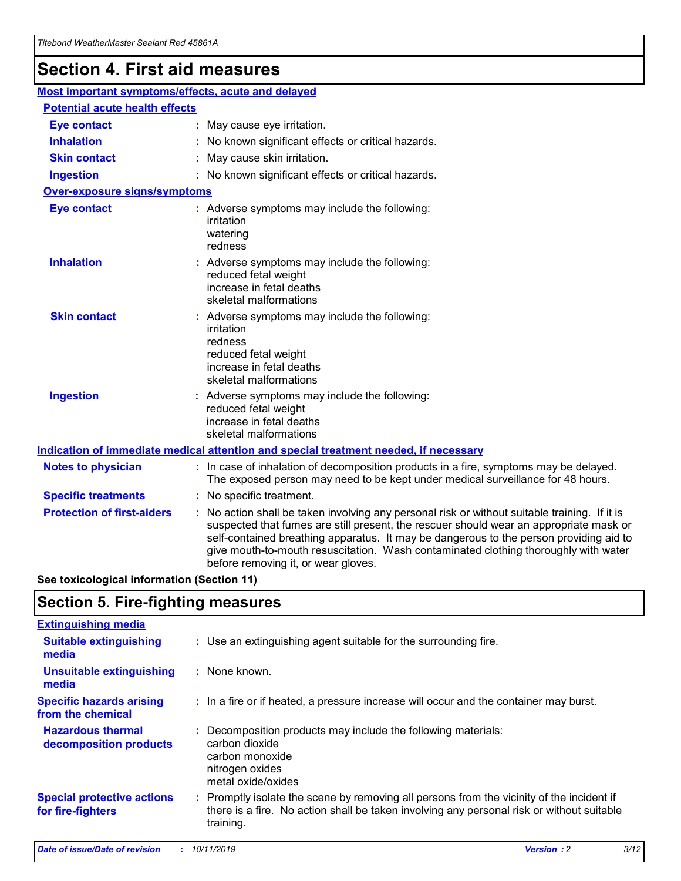## **Section 4. First aid measures**

| Most important symptoms/effects, acute and delayed |  |                                                                                                                                                                                                                                                                                                                                                                                                                 |  |
|----------------------------------------------------|--|-----------------------------------------------------------------------------------------------------------------------------------------------------------------------------------------------------------------------------------------------------------------------------------------------------------------------------------------------------------------------------------------------------------------|--|
| <b>Potential acute health effects</b>              |  |                                                                                                                                                                                                                                                                                                                                                                                                                 |  |
| <b>Eye contact</b>                                 |  | : May cause eye irritation.                                                                                                                                                                                                                                                                                                                                                                                     |  |
| <b>Inhalation</b>                                  |  | : No known significant effects or critical hazards.                                                                                                                                                                                                                                                                                                                                                             |  |
| <b>Skin contact</b>                                |  | : May cause skin irritation.                                                                                                                                                                                                                                                                                                                                                                                    |  |
| <b>Ingestion</b>                                   |  | : No known significant effects or critical hazards.                                                                                                                                                                                                                                                                                                                                                             |  |
| Over-exposure signs/symptoms                       |  |                                                                                                                                                                                                                                                                                                                                                                                                                 |  |
| <b>Eye contact</b>                                 |  | : Adverse symptoms may include the following:<br>irritation<br>watering<br>redness                                                                                                                                                                                                                                                                                                                              |  |
| <b>Inhalation</b>                                  |  | : Adverse symptoms may include the following:<br>reduced fetal weight<br>increase in fetal deaths<br>skeletal malformations                                                                                                                                                                                                                                                                                     |  |
| <b>Skin contact</b>                                |  | : Adverse symptoms may include the following:<br>irritation<br>redness<br>reduced fetal weight<br>increase in fetal deaths<br>skeletal malformations                                                                                                                                                                                                                                                            |  |
| <b>Ingestion</b>                                   |  | : Adverse symptoms may include the following:<br>reduced fetal weight<br>increase in fetal deaths<br>skeletal malformations                                                                                                                                                                                                                                                                                     |  |
|                                                    |  | <b>Indication of immediate medical attention and special treatment needed, if necessary</b>                                                                                                                                                                                                                                                                                                                     |  |
| <b>Notes to physician</b>                          |  | : In case of inhalation of decomposition products in a fire, symptoms may be delayed.<br>The exposed person may need to be kept under medical surveillance for 48 hours.                                                                                                                                                                                                                                        |  |
| <b>Specific treatments</b>                         |  | : No specific treatment.                                                                                                                                                                                                                                                                                                                                                                                        |  |
| <b>Protection of first-aiders</b>                  |  | : No action shall be taken involving any personal risk or without suitable training. If it is<br>suspected that fumes are still present, the rescuer should wear an appropriate mask or<br>self-contained breathing apparatus. It may be dangerous to the person providing aid to<br>give mouth-to-mouth resuscitation. Wash contaminated clothing thoroughly with water<br>before removing it, or wear gloves. |  |

**See toxicological information (Section 11)**

### **Section 5. Fire-fighting measures**

| <b>Extinguishing media</b>                             |                                                                                                                                                                                                     |
|--------------------------------------------------------|-----------------------------------------------------------------------------------------------------------------------------------------------------------------------------------------------------|
| <b>Suitable extinguishing</b><br>media                 | : Use an extinguishing agent suitable for the surrounding fire.                                                                                                                                     |
| <b>Unsuitable extinguishing</b><br>media               | : None known.                                                                                                                                                                                       |
| <b>Specific hazards arising</b><br>from the chemical   | : In a fire or if heated, a pressure increase will occur and the container may burst.                                                                                                               |
| <b>Hazardous thermal</b><br>decomposition products     | : Decomposition products may include the following materials:<br>carbon dioxide<br>carbon monoxide<br>nitrogen oxides<br>metal oxide/oxides                                                         |
| <b>Special protective actions</b><br>for fire-fighters | : Promptly isolate the scene by removing all persons from the vicinity of the incident if<br>there is a fire. No action shall be taken involving any personal risk or without suitable<br>training. |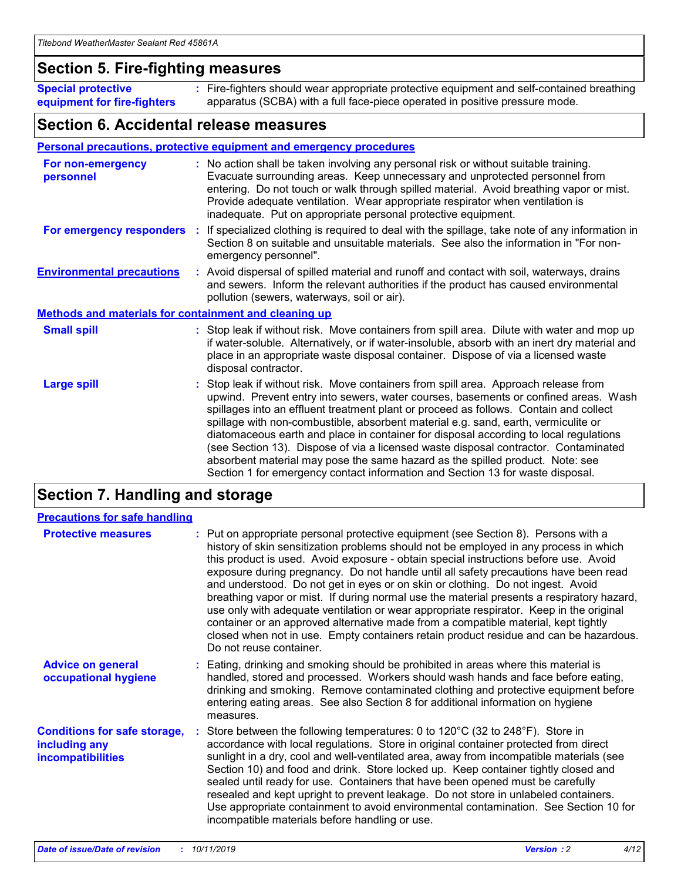### **Section 5. Fire-fighting measures**

**Special protective equipment for fire-fighters** Fire-fighters should wear appropriate protective equipment and self-contained breathing **:** apparatus (SCBA) with a full face-piece operated in positive pressure mode.

### **Section 6. Accidental release measures**

#### **Personal precautions, protective equipment and emergency procedures**

| For non-emergency<br>personnel                               | : No action shall be taken involving any personal risk or without suitable training.<br>Evacuate surrounding areas. Keep unnecessary and unprotected personnel from<br>entering. Do not touch or walk through spilled material. Avoid breathing vapor or mist.<br>Provide adequate ventilation. Wear appropriate respirator when ventilation is<br>inadequate. Put on appropriate personal protective equipment.                                                                                                                                                                                                                                                                                             |
|--------------------------------------------------------------|--------------------------------------------------------------------------------------------------------------------------------------------------------------------------------------------------------------------------------------------------------------------------------------------------------------------------------------------------------------------------------------------------------------------------------------------------------------------------------------------------------------------------------------------------------------------------------------------------------------------------------------------------------------------------------------------------------------|
|                                                              | For emergency responders : If specialized clothing is required to deal with the spillage, take note of any information in<br>Section 8 on suitable and unsuitable materials. See also the information in "For non-<br>emergency personnel".                                                                                                                                                                                                                                                                                                                                                                                                                                                                  |
| <b>Environmental precautions</b>                             | : Avoid dispersal of spilled material and runoff and contact with soil, waterways, drains<br>and sewers. Inform the relevant authorities if the product has caused environmental<br>pollution (sewers, waterways, soil or air).                                                                                                                                                                                                                                                                                                                                                                                                                                                                              |
| <b>Methods and materials for containment and cleaning up</b> |                                                                                                                                                                                                                                                                                                                                                                                                                                                                                                                                                                                                                                                                                                              |
| <b>Small spill</b>                                           | : Stop leak if without risk. Move containers from spill area. Dilute with water and mop up<br>if water-soluble. Alternatively, or if water-insoluble, absorb with an inert dry material and<br>place in an appropriate waste disposal container. Dispose of via a licensed waste<br>disposal contractor.                                                                                                                                                                                                                                                                                                                                                                                                     |
| <b>Large spill</b>                                           | : Stop leak if without risk. Move containers from spill area. Approach release from<br>upwind. Prevent entry into sewers, water courses, basements or confined areas. Wash<br>spillages into an effluent treatment plant or proceed as follows. Contain and collect<br>spillage with non-combustible, absorbent material e.g. sand, earth, vermiculite or<br>diatomaceous earth and place in container for disposal according to local regulations<br>(see Section 13). Dispose of via a licensed waste disposal contractor. Contaminated<br>absorbent material may pose the same hazard as the spilled product. Note: see<br>Section 1 for emergency contact information and Section 13 for waste disposal. |

## **Section 7. Handling and storage**

| <b>Precautions for safe handling</b>                                             |                                                                                                                                                                                                                                                                                                                                                                                                                                                                                                                                                                                                                                                                                                                                                                                                                                                  |
|----------------------------------------------------------------------------------|--------------------------------------------------------------------------------------------------------------------------------------------------------------------------------------------------------------------------------------------------------------------------------------------------------------------------------------------------------------------------------------------------------------------------------------------------------------------------------------------------------------------------------------------------------------------------------------------------------------------------------------------------------------------------------------------------------------------------------------------------------------------------------------------------------------------------------------------------|
| <b>Protective measures</b>                                                       | : Put on appropriate personal protective equipment (see Section 8). Persons with a<br>history of skin sensitization problems should not be employed in any process in which<br>this product is used. Avoid exposure - obtain special instructions before use. Avoid<br>exposure during pregnancy. Do not handle until all safety precautions have been read<br>and understood. Do not get in eyes or on skin or clothing. Do not ingest. Avoid<br>breathing vapor or mist. If during normal use the material presents a respiratory hazard,<br>use only with adequate ventilation or wear appropriate respirator. Keep in the original<br>container or an approved alternative made from a compatible material, kept tightly<br>closed when not in use. Empty containers retain product residue and can be hazardous.<br>Do not reuse container. |
| <b>Advice on general</b><br>occupational hygiene                                 | : Eating, drinking and smoking should be prohibited in areas where this material is<br>handled, stored and processed. Workers should wash hands and face before eating,<br>drinking and smoking. Remove contaminated clothing and protective equipment before<br>entering eating areas. See also Section 8 for additional information on hygiene<br>measures.                                                                                                                                                                                                                                                                                                                                                                                                                                                                                    |
| <b>Conditions for safe storage,</b><br>including any<br><b>incompatibilities</b> | Store between the following temperatures: 0 to $120^{\circ}$ C (32 to $248^{\circ}$ F). Store in<br>accordance with local regulations. Store in original container protected from direct<br>sunlight in a dry, cool and well-ventilated area, away from incompatible materials (see<br>Section 10) and food and drink. Store locked up. Keep container tightly closed and<br>sealed until ready for use. Containers that have been opened must be carefully<br>resealed and kept upright to prevent leakage. Do not store in unlabeled containers.<br>Use appropriate containment to avoid environmental contamination. See Section 10 for<br>incompatible materials before handling or use.                                                                                                                                                     |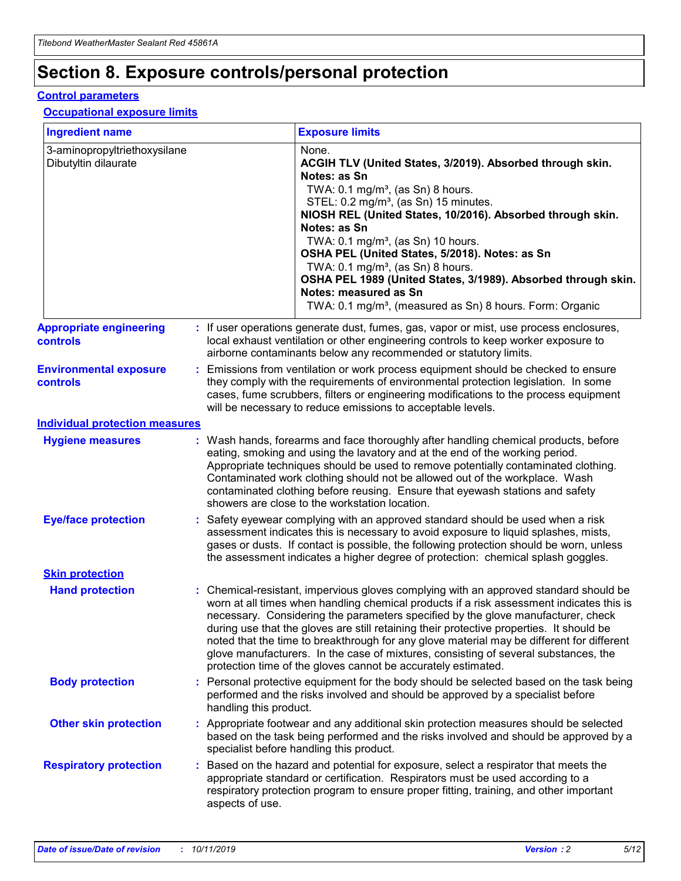## **Section 8. Exposure controls/personal protection**

#### **Control parameters**

#### **Occupational exposure limits**

| <b>Ingredient name</b>                               |    |                                          | <b>Exposure limits</b>                                                                                                                                                                                                                                                                                                                                                                                                                                                                                                                                                                                                 |
|------------------------------------------------------|----|------------------------------------------|------------------------------------------------------------------------------------------------------------------------------------------------------------------------------------------------------------------------------------------------------------------------------------------------------------------------------------------------------------------------------------------------------------------------------------------------------------------------------------------------------------------------------------------------------------------------------------------------------------------------|
| 3-aminopropyltriethoxysilane<br>Dibutyltin dilaurate |    |                                          | None.<br>ACGIH TLV (United States, 3/2019). Absorbed through skin.<br>Notes: as Sn<br>TWA: 0.1 mg/m <sup>3</sup> , (as Sn) 8 hours.<br>STEL: 0.2 mg/m <sup>3</sup> , (as Sn) 15 minutes.<br>NIOSH REL (United States, 10/2016). Absorbed through skin.<br>Notes: as Sn<br>TWA: 0.1 mg/m <sup>3</sup> , (as Sn) 10 hours.<br>OSHA PEL (United States, 5/2018). Notes: as Sn<br>TWA: $0.1 \text{ mg/m}^3$ , (as Sn) 8 hours.<br>OSHA PEL 1989 (United States, 3/1989). Absorbed through skin.<br>Notes: measured as Sn<br>TWA: 0.1 mg/m <sup>3</sup> , (measured as Sn) 8 hours. Form: Organic                           |
| <b>Appropriate engineering</b><br>controls           |    |                                          | : If user operations generate dust, fumes, gas, vapor or mist, use process enclosures,<br>local exhaust ventilation or other engineering controls to keep worker exposure to<br>airborne contaminants below any recommended or statutory limits.                                                                                                                                                                                                                                                                                                                                                                       |
| <b>Environmental exposure</b><br><b>controls</b>     |    |                                          | Emissions from ventilation or work process equipment should be checked to ensure<br>they comply with the requirements of environmental protection legislation. In some<br>cases, fume scrubbers, filters or engineering modifications to the process equipment<br>will be necessary to reduce emissions to acceptable levels.                                                                                                                                                                                                                                                                                          |
| <b>Individual protection measures</b>                |    |                                          |                                                                                                                                                                                                                                                                                                                                                                                                                                                                                                                                                                                                                        |
| <b>Hygiene measures</b>                              |    |                                          | : Wash hands, forearms and face thoroughly after handling chemical products, before<br>eating, smoking and using the lavatory and at the end of the working period.<br>Appropriate techniques should be used to remove potentially contaminated clothing.<br>Contaminated work clothing should not be allowed out of the workplace. Wash<br>contaminated clothing before reusing. Ensure that eyewash stations and safety<br>showers are close to the workstation location.                                                                                                                                            |
| <b>Eye/face protection</b>                           |    |                                          | : Safety eyewear complying with an approved standard should be used when a risk<br>assessment indicates this is necessary to avoid exposure to liquid splashes, mists,<br>gases or dusts. If contact is possible, the following protection should be worn, unless<br>the assessment indicates a higher degree of protection: chemical splash goggles.                                                                                                                                                                                                                                                                  |
| <b>Skin protection</b>                               |    |                                          |                                                                                                                                                                                                                                                                                                                                                                                                                                                                                                                                                                                                                        |
| <b>Hand protection</b>                               |    |                                          | : Chemical-resistant, impervious gloves complying with an approved standard should be<br>worn at all times when handling chemical products if a risk assessment indicates this is<br>necessary. Considering the parameters specified by the glove manufacturer, check<br>during use that the gloves are still retaining their protective properties. It should be<br>noted that the time to breakthrough for any glove material may be different for different<br>glove manufacturers. In the case of mixtures, consisting of several substances, the<br>protection time of the gloves cannot be accurately estimated. |
| <b>Body protection</b>                               |    | handling this product.                   | Personal protective equipment for the body should be selected based on the task being<br>performed and the risks involved and should be approved by a specialist before                                                                                                                                                                                                                                                                                                                                                                                                                                                |
| <b>Other skin protection</b>                         |    | specialist before handling this product. | : Appropriate footwear and any additional skin protection measures should be selected<br>based on the task being performed and the risks involved and should be approved by a                                                                                                                                                                                                                                                                                                                                                                                                                                          |
| <b>Respiratory protection</b>                        | ÷. | aspects of use.                          | Based on the hazard and potential for exposure, select a respirator that meets the<br>appropriate standard or certification. Respirators must be used according to a<br>respiratory protection program to ensure proper fitting, training, and other important                                                                                                                                                                                                                                                                                                                                                         |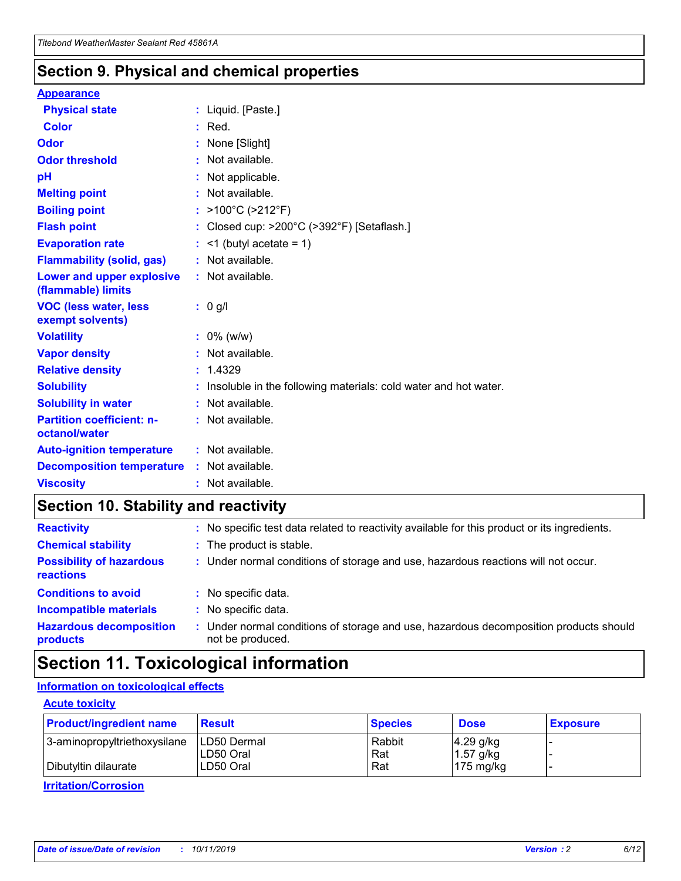### **Section 9. Physical and chemical properties**

#### **Appearance**

| <b>Physical state</b>                             | : Liquid. [Paste.]                                              |
|---------------------------------------------------|-----------------------------------------------------------------|
| Color                                             | $:$ Red.                                                        |
| Odor                                              | : None [Slight]                                                 |
| <b>Odor threshold</b>                             | : Not available.                                                |
| рH                                                | : Not applicable.                                               |
| <b>Melting point</b>                              | : Not available.                                                |
| <b>Boiling point</b>                              | : >100°C (>212°F)                                               |
| <b>Flash point</b>                                | : Closed cup: $>200^{\circ}$ C ( $>392^{\circ}$ F) [Setaflash.] |
| <b>Evaporation rate</b>                           | $:$ <1 (butyl acetate = 1)                                      |
| <b>Flammability (solid, gas)</b>                  | : Not available.                                                |
| Lower and upper explosive<br>(flammable) limits   | : Not available.                                                |
| <b>VOC (less water, less</b><br>exempt solvents)  | : 0 g/l                                                         |
| <b>Volatility</b>                                 | $: 0\%$ (w/w)                                                   |
| <b>Vapor density</b>                              | : Not available.                                                |
| <b>Relative density</b>                           | : 1.4329                                                        |
| <b>Solubility</b>                                 | Insoluble in the following materials: cold water and hot water. |
| <b>Solubility in water</b>                        | : Not available.                                                |
| <b>Partition coefficient: n-</b><br>octanol/water | $:$ Not available.                                              |
| <b>Auto-ignition temperature</b>                  | : Not available.                                                |
| <b>Decomposition temperature</b>                  | : Not available.                                                |
|                                                   |                                                                 |

## **Section 10. Stability and reactivity**

| <b>Reactivity</b>                            | : No specific test data related to reactivity available for this product or its ingredients.            |
|----------------------------------------------|---------------------------------------------------------------------------------------------------------|
| <b>Chemical stability</b>                    | : The product is stable.                                                                                |
| <b>Possibility of hazardous</b><br>reactions | : Under normal conditions of storage and use, hazardous reactions will not occur.                       |
| <b>Conditions to avoid</b>                   | : No specific data.                                                                                     |
| <b>Incompatible materials</b>                | : No specific data.                                                                                     |
| <b>Hazardous decomposition</b><br>products   | Under normal conditions of storage and use, hazardous decomposition products should<br>not be produced. |

## **Section 11. Toxicological information**

#### **Information on toxicological effects**

#### **Acute toxicity**

| <b>Product/ingredient name</b> | <b>Result</b>           | <b>Species</b> | <b>Dose</b>                | <b>Exposure</b> |
|--------------------------------|-------------------------|----------------|----------------------------|-----------------|
| 3-aminopropyltriethoxysilane   | <b>ILD50 Dermal</b>     | Rabbit         | 4.29 g/kg                  |                 |
| Dibutyltin dilaurate           | ILD50 Oral<br>LD50 Oral | Rat<br>Rat     | $1.57$ g/kg<br>175 $mg/kg$ |                 |
|                                |                         |                |                            |                 |

**Irritation/Corrosion**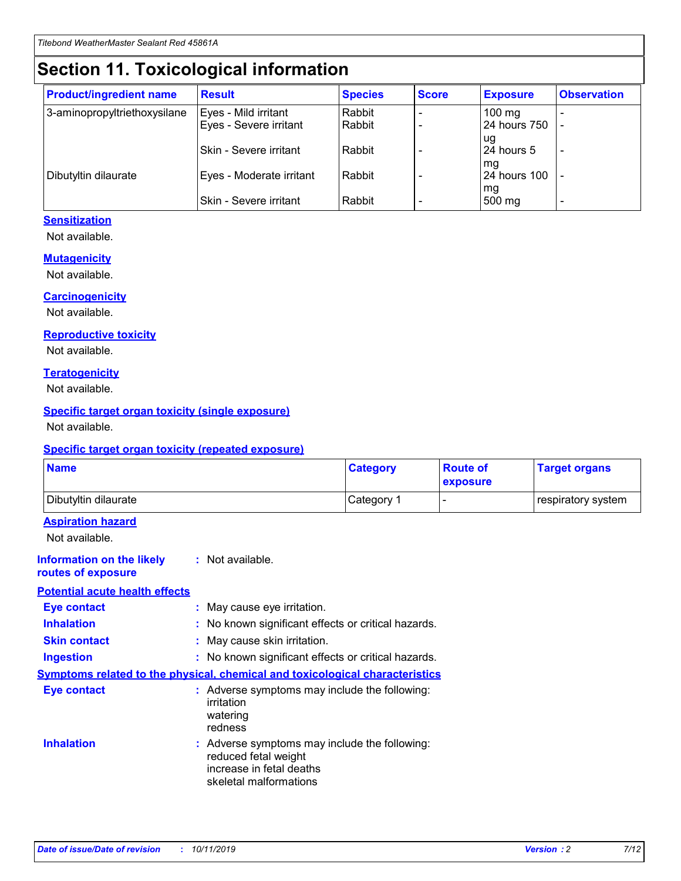## **Section 11. Toxicological information**

| <b>Product/ingredient name</b> | <b>Result</b>                 | <b>Species</b> | <b>Score</b> | <b>Exposure</b>    | <b>Observation</b> |
|--------------------------------|-------------------------------|----------------|--------------|--------------------|--------------------|
| 3-aminopropyltriethoxysilane   | Eyes - Mild irritant          | Rabbit         |              | $100$ mg           |                    |
|                                | Eyes - Severe irritant        | Rabbit         |              | 24 hours 750       |                    |
|                                |                               |                |              | ug                 |                    |
|                                | <b>Skin - Severe irritant</b> | Rabbit         |              | 24 hours 5         | ۰                  |
| Dibutyltin dilaurate           | Eyes - Moderate irritant      | Rabbit         |              | mq<br>24 hours 100 |                    |
|                                |                               |                |              | mg                 |                    |
|                                | Skin - Severe irritant        | Rabbit         |              | 500 mg             |                    |

#### **Sensitization**

Not available.

#### **Mutagenicity**

Not available.

#### **Carcinogenicity**

Not available.

#### **Reproductive toxicity**

Not available.

#### **Teratogenicity**

Not available.

#### **Specific target organ toxicity (single exposure)**

Not available.

#### **Specific target organ toxicity (repeated exposure)**

| <b>Name</b>                                                                  |                                                                                                                             | <b>Category</b> | <b>Route of</b><br>exposure  | <b>Target organs</b> |
|------------------------------------------------------------------------------|-----------------------------------------------------------------------------------------------------------------------------|-----------------|------------------------------|----------------------|
| Dibutyltin dilaurate                                                         |                                                                                                                             | Category 1      | $\qquad \qquad \blacksquare$ | respiratory system   |
| <b>Aspiration hazard</b><br>Not available.                                   |                                                                                                                             |                 |                              |                      |
| <b>Information on the likely</b><br>routes of exposure                       | : Not available.                                                                                                            |                 |                              |                      |
| <b>Potential acute health effects</b>                                        |                                                                                                                             |                 |                              |                      |
| <b>Eye contact</b>                                                           | : May cause eye irritation.                                                                                                 |                 |                              |                      |
| <b>Inhalation</b>                                                            | : No known significant effects or critical hazards.                                                                         |                 |                              |                      |
| <b>Skin contact</b>                                                          | : May cause skin irritation.                                                                                                |                 |                              |                      |
| <b>Ingestion</b>                                                             | : No known significant effects or critical hazards.                                                                         |                 |                              |                      |
| Symptoms related to the physical, chemical and toxicological characteristics |                                                                                                                             |                 |                              |                      |
| <b>Eye contact</b>                                                           | : Adverse symptoms may include the following:<br>irritation<br>watering<br>redness                                          |                 |                              |                      |
| <b>Inhalation</b>                                                            | : Adverse symptoms may include the following:<br>reduced fetal weight<br>increase in fetal deaths<br>skeletal malformations |                 |                              |                      |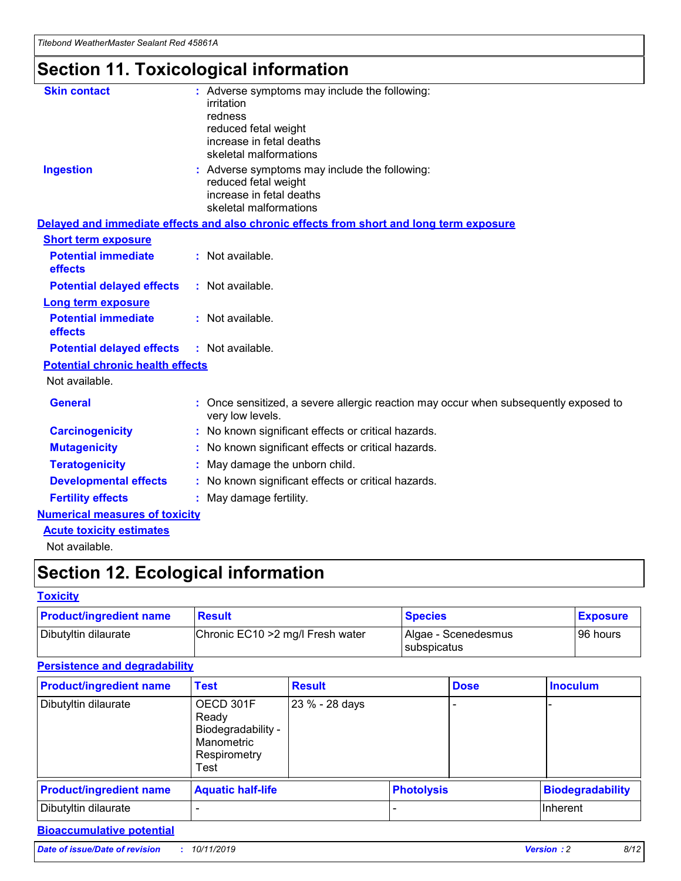## **Section 11. Toxicological information**

| <b>Skin contact</b>                     | : Adverse symptoms may include the following:<br>irritation<br>redness<br>reduced fetal weight<br>increase in fetal deaths<br>skeletal malformations |
|-----------------------------------------|------------------------------------------------------------------------------------------------------------------------------------------------------|
| <b>Ingestion</b>                        | : Adverse symptoms may include the following:<br>reduced fetal weight<br>increase in fetal deaths<br>skeletal malformations                          |
|                                         | Delayed and immediate effects and also chronic effects from short and long term exposure                                                             |
| <b>Short term exposure</b>              |                                                                                                                                                      |
| <b>Potential immediate</b><br>effects   | : Not available.                                                                                                                                     |
| <b>Potential delayed effects</b>        | : Not available.                                                                                                                                     |
| <b>Long term exposure</b>               |                                                                                                                                                      |
| <b>Potential immediate</b><br>effects   | : Not available.                                                                                                                                     |
| <b>Potential delayed effects</b>        | : Not available.                                                                                                                                     |
| <b>Potential chronic health effects</b> |                                                                                                                                                      |
| Not available.                          |                                                                                                                                                      |
| <b>General</b>                          | : Once sensitized, a severe allergic reaction may occur when subsequently exposed to<br>very low levels.                                             |
| <b>Carcinogenicity</b>                  | : No known significant effects or critical hazards.                                                                                                  |
| <b>Mutagenicity</b>                     | No known significant effects or critical hazards.                                                                                                    |
| <b>Teratogenicity</b>                   | May damage the unborn child.                                                                                                                         |
| <b>Developmental effects</b>            | No known significant effects or critical hazards.                                                                                                    |
| <b>Fertility effects</b>                | : May damage fertility.                                                                                                                              |
| <b>Numerical measures of toxicity</b>   |                                                                                                                                                      |
| <b>Acute toxicity estimates</b>         |                                                                                                                                                      |
|                                         |                                                                                                                                                      |

Not available.

## **Section 12. Ecological information**

#### **Toxicity**

| <b>Product/ingredient name</b> | <b>Result</b>                     | <b>Species</b>                       | <b>Exposure</b> |
|--------------------------------|-----------------------------------|--------------------------------------|-----------------|
| Dibutyltin dilaurate           | Chronic EC10 > 2 mg/l Fresh water | Algae - Scenedesmus<br>I subspicatus | l 96 hours i    |

#### **Persistence and degradability**

| <b>Product/ingredient name</b> | <b>Test</b>                                                                    | <b>Result</b>  |                   | <b>Dose</b> | <b>Inoculum</b>         |
|--------------------------------|--------------------------------------------------------------------------------|----------------|-------------------|-------------|-------------------------|
| Dibutyltin dilaurate           | OECD 301F<br>Ready<br>Biodegradability -<br>Manometric<br>Respirometry<br>Test | 23 % - 28 days |                   |             |                         |
| <b>Product/ingredient name</b> | <b>Aquatic half-life</b>                                                       |                | <b>Photolysis</b> |             | <b>Biodegradability</b> |
| Dibutyltin dilaurate           |                                                                                |                |                   |             | Inherent                |

#### **Bioaccumulative potential**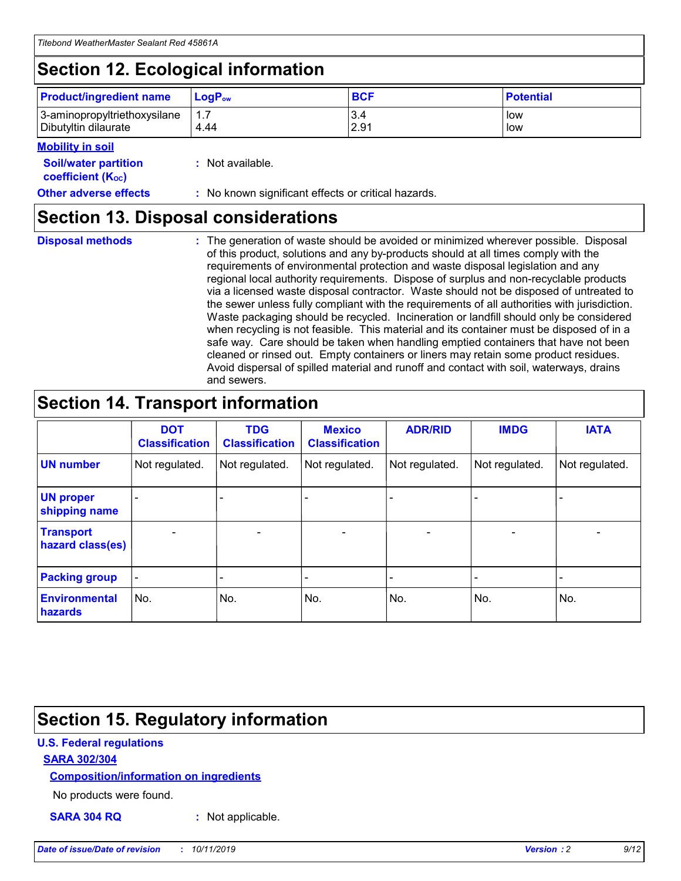## **Section 12. Ecological information**

| <b>Product/ingredient name</b> | $LoaPow$ | <b>BCF</b> | <b>Potential</b> |
|--------------------------------|----------|------------|------------------|
| 3-aminopropyltriethoxysilane   | 1.7      | 3.4        | low              |
| Dibutyltin dilaurate           | 4.44     | 2.91       | low              |

#### **Mobility in soil**

| <b>Soil/water partition</b><br>coefficient (K <sub>oc</sub> ) | : Not available.                                    |
|---------------------------------------------------------------|-----------------------------------------------------|
| <b>Other adverse effects</b>                                  | : No known significant effects or critical hazards. |

### **Section 13. Disposal considerations**

**Disposal methods :**

The generation of waste should be avoided or minimized wherever possible. Disposal of this product, solutions and any by-products should at all times comply with the requirements of environmental protection and waste disposal legislation and any regional local authority requirements. Dispose of surplus and non-recyclable products via a licensed waste disposal contractor. Waste should not be disposed of untreated to the sewer unless fully compliant with the requirements of all authorities with jurisdiction. Waste packaging should be recycled. Incineration or landfill should only be considered when recycling is not feasible. This material and its container must be disposed of in a safe way. Care should be taken when handling emptied containers that have not been cleaned or rinsed out. Empty containers or liners may retain some product residues. Avoid dispersal of spilled material and runoff and contact with soil, waterways, drains and sewers.

## **Section 14. Transport information**

|                                      | <b>DOT</b><br><b>Classification</b> | <b>TDG</b><br><b>Classification</b> | <b>Mexico</b><br><b>Classification</b> | <b>ADR/RID</b>               | <b>IMDG</b>    | <b>IATA</b>    |
|--------------------------------------|-------------------------------------|-------------------------------------|----------------------------------------|------------------------------|----------------|----------------|
| <b>UN number</b>                     | Not regulated.                      | Not regulated.                      | Not regulated.                         | Not regulated.               | Not regulated. | Not regulated. |
| <b>UN proper</b><br>shipping name    |                                     |                                     |                                        |                              |                |                |
| <b>Transport</b><br>hazard class(es) | $\blacksquare$                      | $\overline{\phantom{0}}$            | $\overline{\phantom{a}}$               | $\qquad \qquad \blacksquare$ | $\blacksquare$ | $\blacksquare$ |
| <b>Packing group</b>                 | $\overline{\phantom{a}}$            | -                                   |                                        | -                            |                | -              |
| <b>Environmental</b><br>hazards      | No.                                 | No.                                 | No.                                    | No.                          | No.            | No.            |

## **Section 15. Regulatory information**

#### **U.S. Federal regulations**

#### **SARA 302/304**

#### **Composition/information on ingredients**

No products were found.

**SARA 304 RQ :** Not applicable.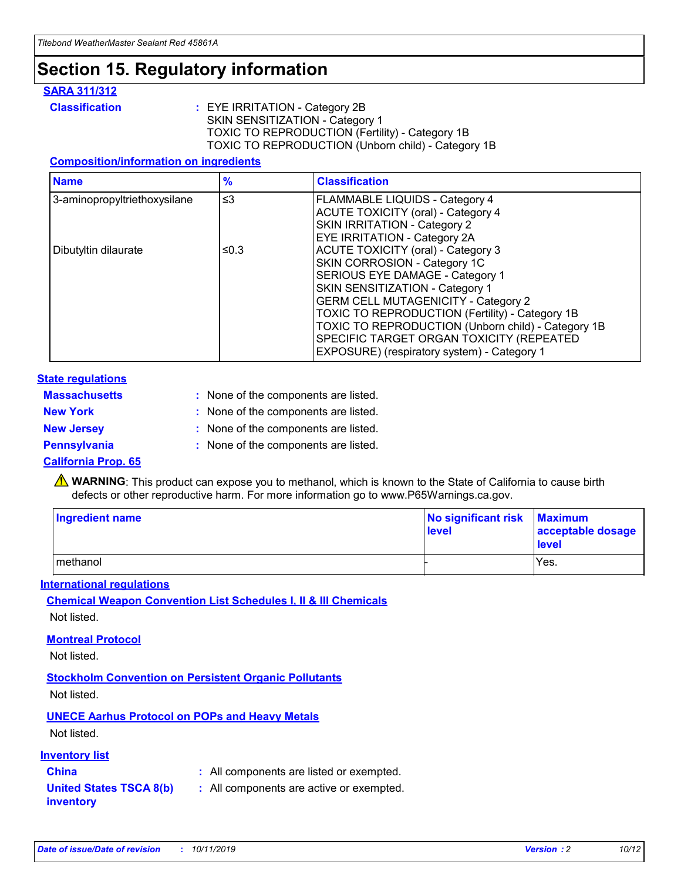## **Section 15. Regulatory information**

#### **SARA 311/312**

**Classification :** EYE IRRITATION - Category 2B SKIN SENSITIZATION - Category 1 TOXIC TO REPRODUCTION (Fertility) - Category 1B TOXIC TO REPRODUCTION (Unborn child) - Category 1B

#### **Composition/information on ingredients**

| <b>Name</b>                              | $\frac{9}{6}$ | <b>Classification</b>                                  |
|------------------------------------------|---------------|--------------------------------------------------------|
| $\leq$ 3<br>3-aminopropyltriethoxysilane |               | <b>FLAMMABLE LIQUIDS - Category 4</b>                  |
|                                          |               | <b>ACUTE TOXICITY (oral) - Category 4</b>              |
|                                          |               | SKIN IRRITATION - Category 2                           |
|                                          |               | EYE IRRITATION - Category 2A                           |
| Dibutyltin dilaurate                     | ≤0.3          | <b>ACUTE TOXICITY (oral) - Category 3</b>              |
|                                          |               | SKIN CORROSION - Category 1C                           |
|                                          |               | SERIOUS EYE DAMAGE - Category 1                        |
|                                          |               | SKIN SENSITIZATION - Category 1                        |
|                                          |               | <b>GERM CELL MUTAGENICITY - Category 2</b>             |
|                                          |               | <b>TOXIC TO REPRODUCTION (Fertility) - Category 1B</b> |
|                                          |               | TOXIC TO REPRODUCTION (Unborn child) - Category 1B     |
|                                          |               | SPECIFIC TARGET ORGAN TOXICITY (REPEATED               |
|                                          |               | EXPOSURE) (respiratory system) - Category 1            |

#### **State regulations**

| <b>Massachusetts</b> | : None of the components are listed. |
|----------------------|--------------------------------------|
| <b>New York</b>      | : None of the components are listed. |
| <b>New Jersey</b>    | : None of the components are listed. |
| <b>Pennsylvania</b>  | : None of the components are listed. |

#### **California Prop. 65**

**A** WARNING: This product can expose you to methanol, which is known to the State of California to cause birth defects or other reproductive harm. For more information go to www.P65Warnings.ca.gov.

| <b>Ingredient name</b> | No significant risk Maximum<br>level | acceptable dosage<br>level |
|------------------------|--------------------------------------|----------------------------|
| methanol               |                                      | Yes.                       |

#### **International regulations**

**Chemical Weapon Convention List Schedules I, II & III Chemicals** Not listed.

#### **Montreal Protocol**

Not listed.

**Stockholm Convention on Persistent Organic Pollutants**

Not listed.

#### **UNECE Aarhus Protocol on POPs and Heavy Metals**

Not listed.

#### **Inventory list**

### **China :** All components are listed or exempted.

**United States TSCA 8(b) inventory :** All components are active or exempted.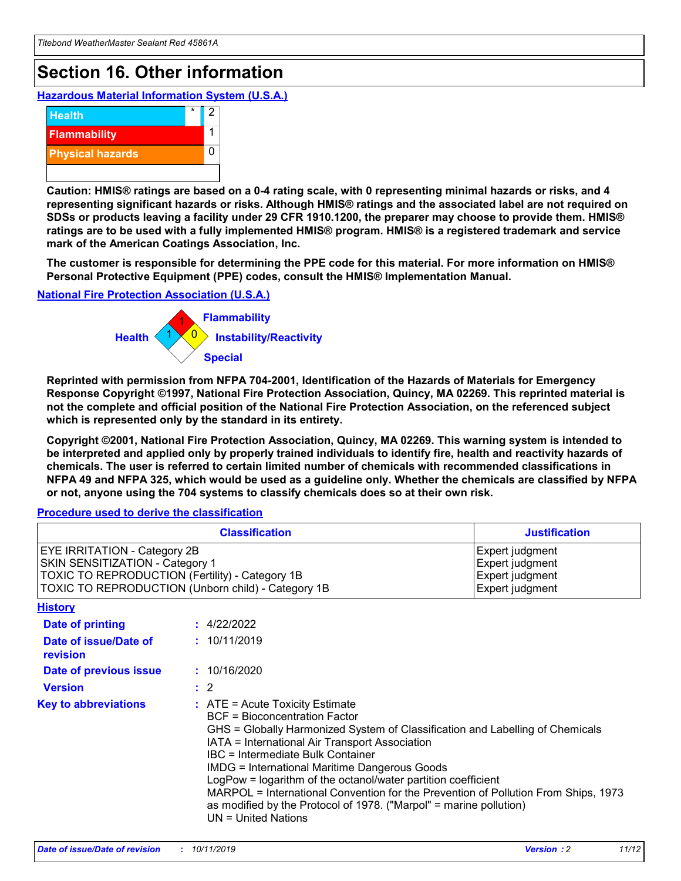## **Section 16. Other information**

**Hazardous Material Information System (U.S.A.)**



**Caution: HMIS® ratings are based on a 0-4 rating scale, with 0 representing minimal hazards or risks, and 4 representing significant hazards or risks. Although HMIS® ratings and the associated label are not required on SDSs or products leaving a facility under 29 CFR 1910.1200, the preparer may choose to provide them. HMIS® ratings are to be used with a fully implemented HMIS® program. HMIS® is a registered trademark and service mark of the American Coatings Association, Inc.**

**The customer is responsible for determining the PPE code for this material. For more information on HMIS® Personal Protective Equipment (PPE) codes, consult the HMIS® Implementation Manual.**

#### **National Fire Protection Association (U.S.A.)**



**Reprinted with permission from NFPA 704-2001, Identification of the Hazards of Materials for Emergency Response Copyright ©1997, National Fire Protection Association, Quincy, MA 02269. This reprinted material is not the complete and official position of the National Fire Protection Association, on the referenced subject which is represented only by the standard in its entirety.**

**Copyright ©2001, National Fire Protection Association, Quincy, MA 02269. This warning system is intended to be interpreted and applied only by properly trained individuals to identify fire, health and reactivity hazards of chemicals. The user is referred to certain limited number of chemicals with recommended classifications in NFPA 49 and NFPA 325, which would be used as a guideline only. Whether the chemicals are classified by NFPA or not, anyone using the 704 systems to classify chemicals does so at their own risk.**

#### **Procedure used to derive the classification**

| <b>Classification</b>                                                                                                                                                    |                                                                                                                                                                                                                                                                                                                                                                                                                                                                                                                                                               | <b>Justification</b>                                                     |
|--------------------------------------------------------------------------------------------------------------------------------------------------------------------------|---------------------------------------------------------------------------------------------------------------------------------------------------------------------------------------------------------------------------------------------------------------------------------------------------------------------------------------------------------------------------------------------------------------------------------------------------------------------------------------------------------------------------------------------------------------|--------------------------------------------------------------------------|
| EYE IRRITATION - Category 2B<br>SKIN SENSITIZATION - Category 1<br>TOXIC TO REPRODUCTION (Fertility) - Category 1B<br>TOXIC TO REPRODUCTION (Unborn child) - Category 1B |                                                                                                                                                                                                                                                                                                                                                                                                                                                                                                                                                               | Expert judgment<br>Expert judgment<br>Expert judgment<br>Expert judgment |
| <b>History</b>                                                                                                                                                           |                                                                                                                                                                                                                                                                                                                                                                                                                                                                                                                                                               |                                                                          |
| <b>Date of printing</b>                                                                                                                                                  | : 4/22/2022                                                                                                                                                                                                                                                                                                                                                                                                                                                                                                                                                   |                                                                          |
| Date of issue/Date of<br>revision                                                                                                                                        | : 10/11/2019                                                                                                                                                                                                                                                                                                                                                                                                                                                                                                                                                  |                                                                          |
| Date of previous issue                                                                                                                                                   | : 10/16/2020                                                                                                                                                                                                                                                                                                                                                                                                                                                                                                                                                  |                                                                          |
| <b>Version</b>                                                                                                                                                           | $\therefore$ 2                                                                                                                                                                                                                                                                                                                                                                                                                                                                                                                                                |                                                                          |
| <b>Key to abbreviations</b>                                                                                                                                              | $:$ ATE = Acute Toxicity Estimate<br><b>BCF</b> = Bioconcentration Factor<br>GHS = Globally Harmonized System of Classification and Labelling of Chemicals<br>IATA = International Air Transport Association<br>IBC = Intermediate Bulk Container<br><b>IMDG = International Maritime Dangerous Goods</b><br>LogPow = logarithm of the octanol/water partition coefficient<br>MARPOL = International Convention for the Prevention of Pollution From Ships, 1973<br>as modified by the Protocol of 1978. ("Marpol" = marine pollution)<br>UN = United Nations |                                                                          |